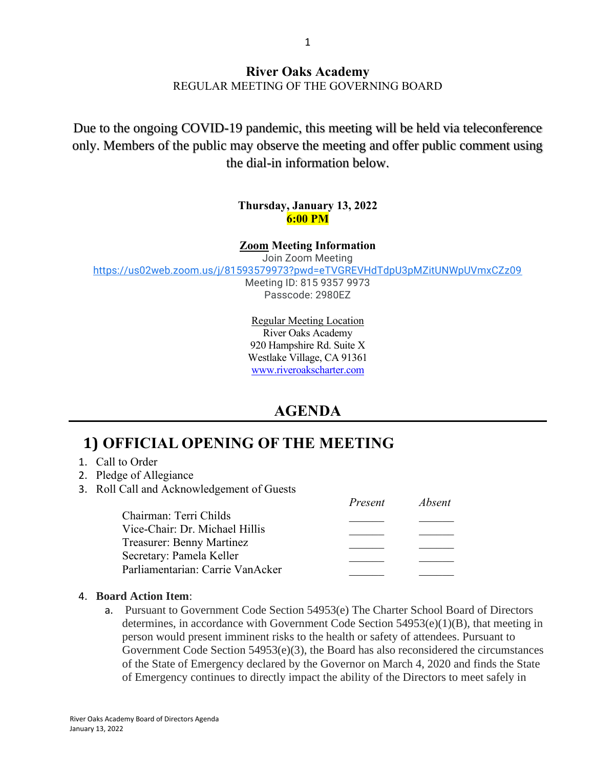### **River Oaks Academy** REGULAR MEETING OF THE GOVERNING BOARD

Due to the ongoing COVID-19 pandemic, this meeting will be held via teleconference only. Members of the public may observe the meeting and offer public comment using the dial-in information below.

#### **Thursday, January 13, 2022 6:00 PM**

#### **Zoom Meeting Information**

Join Zoom Meeting

<https://us02web.zoom.us/j/81593579973?pwd=eTVGREVHdTdpU3pMZitUNWpUVmxCZz09>

Meeting ID: 815 9357 9973 Passcode: 2980EZ

Regular Meeting Location River Oaks Academy 920 Hampshire Rd. Suite X Westlake Village, CA 91361 [www.riveroakscharter.com](http://www.riveroakscharter.com/)

## **AGENDA**

## **1) OFFICIAL OPENING OF THE MEETING**

- 1. Call to Order
- 2. Pledge of Allegiance
- 3. Roll Call and Acknowledgement of Guests

|                                  | Present | <i>Absent</i> |
|----------------------------------|---------|---------------|
| Chairman: Terri Childs           |         |               |
| Vice-Chair: Dr. Michael Hillis   |         |               |
| Treasurer: Benny Martinez        |         |               |
| Secretary: Pamela Keller         |         |               |
| Parliamentarian: Carrie VanAcker |         |               |

#### 4. **Board Action Item**:

a. Pursuant to Government Code Section 54953(e) The Charter School Board of Directors determines, in accordance with Government Code Section 54953(e)(1)(B), that meeting in person would present imminent risks to the health or safety of attendees. Pursuant to Government Code Section 54953(e)(3), the Board has also reconsidered the circumstances of the State of Emergency declared by the Governor on March 4, 2020 and finds the State of Emergency continues to directly impact the ability of the Directors to meet safely in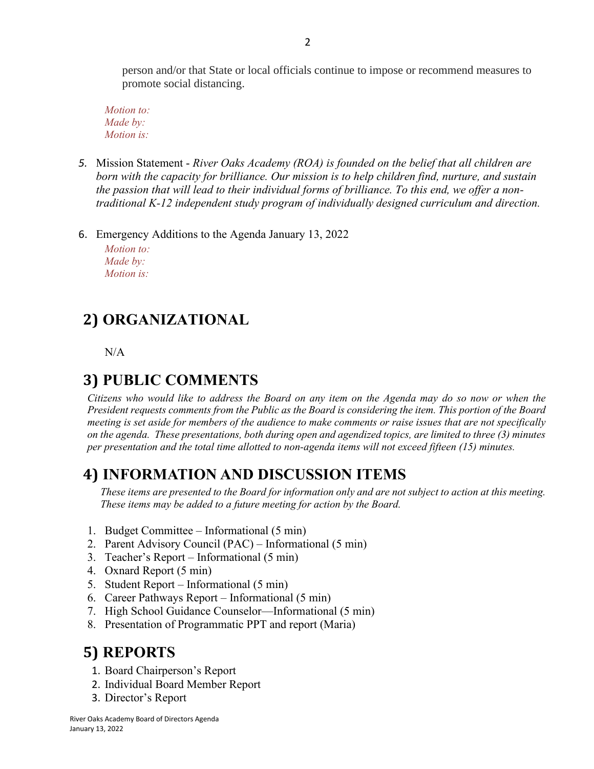person and/or that State or local officials continue to impose or recommend measures to promote social distancing.

*Motion to: Made by: Motion is:*

- *5.* Mission Statement *River Oaks Academy (ROA) is founded on the belief that all children are born with the capacity for brilliance. Our mission is to help children find, nurture, and sustain the passion that will lead to their individual forms of brilliance. To this end, we offer a nontraditional K-12 independent study program of individually designed curriculum and direction.*
- 6. Emergency Additions to the Agenda January 13, 2022

*Motion to: Made by: Motion is:*

## **2) ORGANIZATIONAL**

N/A

# **3) PUBLIC COMMENTS**

*Citizens who would like to address the Board on any item on the Agenda may do so now or when the President requests comments from the Public as the Board is considering the item. This portion of the Board meeting is set aside for members of the audience to make comments or raise issues that are not specifically on the agenda. These presentations, both during open and agendized topics, are limited to three (3) minutes per presentation and the total time allotted to non-agenda items will not exceed fifteen (15) minutes.*

## **4) INFORMATION AND DISCUSSION ITEMS**

*These items are presented to the Board for information only and are not subject to action at this meeting. These items may be added to a future meeting for action by the Board.*

- 1. Budget Committee Informational (5 min)
- 2. Parent Advisory Council (PAC) Informational (5 min)
- 3. Teacher's Report Informational (5 min)
- 4. Oxnard Report (5 min)
- 5. Student Report Informational (5 min)
- 6. Career Pathways Report Informational (5 min)
- 7. High School Guidance Counselor—Informational (5 min)
- 8. Presentation of Programmatic PPT and report (Maria)

## **5) REPORTS**

- 1. Board Chairperson's Report
- 2. Individual Board Member Report
- 3. Director's Report

River Oaks Academy Board of Directors Agenda January 13, 2022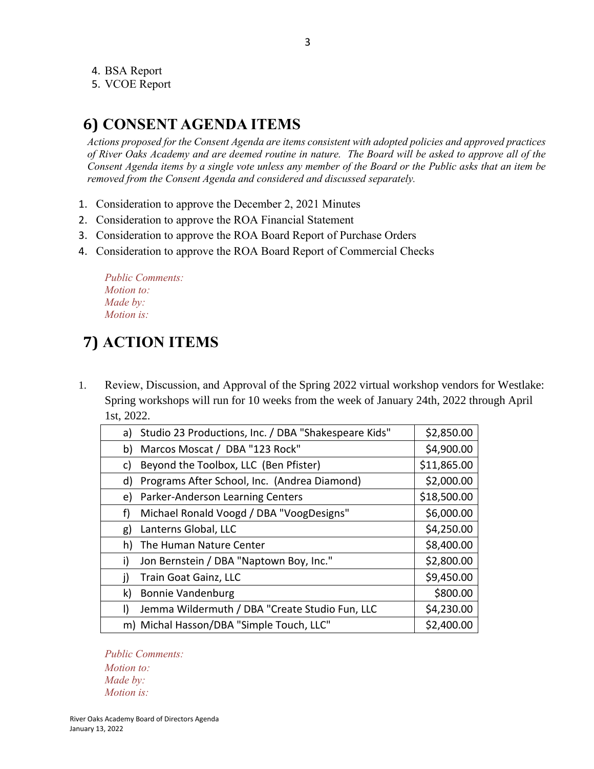4. BSA Report

5. VCOE Report

## **6) CONSENT AGENDA ITEMS**

*Actions proposed for the Consent Agenda are items consistent with adopted policies and approved practices of River Oaks Academy and are deemed routine in nature. The Board will be asked to approve all of the Consent Agenda items by a single vote unless any member of the Board or the Public asks that an item be removed from the Consent Agenda and considered and discussed separately.*

- 1. Consideration to approve the December 2, 2021 Minutes
- 2. Consideration to approve the ROA Financial Statement
- 3. Consideration to approve the ROA Board Report of Purchase Orders
- 4. Consideration to approve the ROA Board Report of Commercial Checks

*Public Comments: Motion to: Made by: Motion is:*

# **7) ACTION ITEMS**

1. Review, Discussion, and Approval of the Spring 2022 virtual workshop vendors for Westlake: Spring workshops will run for 10 weeks from the week of January 24th, 2022 through April 1st, 2022.

| a)           | Studio 23 Productions, Inc. / DBA "Shakespeare Kids" | \$2,850.00  |
|--------------|------------------------------------------------------|-------------|
| b)           | Marcos Moscat / DBA "123 Rock"                       | \$4,900.00  |
| c)           | Beyond the Toolbox, LLC (Ben Pfister)                | \$11,865.00 |
| d)           | Programs After School, Inc. (Andrea Diamond)         | \$2,000.00  |
| e)           | Parker-Anderson Learning Centers                     | \$18,500.00 |
| f)           | Michael Ronald Voogd / DBA "VoogDesigns"             | \$6,000.00  |
| g)           | Lanterns Global, LLC                                 | \$4,250.00  |
| h)           | The Human Nature Center                              | \$8,400.00  |
| i)           | Jon Bernstein / DBA "Naptown Boy, Inc."              | \$2,800.00  |
| j)           | Train Goat Gainz, LLC                                | \$9,450.00  |
| k)           | <b>Bonnie Vandenburg</b>                             | \$800.00    |
| $\mathsf{I}$ | Jemma Wildermuth / DBA "Create Studio Fun, LLC       | \$4,230.00  |
|              | m) Michal Hasson/DBA "Simple Touch, LLC"             | \$2,400.00  |

*Public Comments: Motion to: Made by: Motion is:*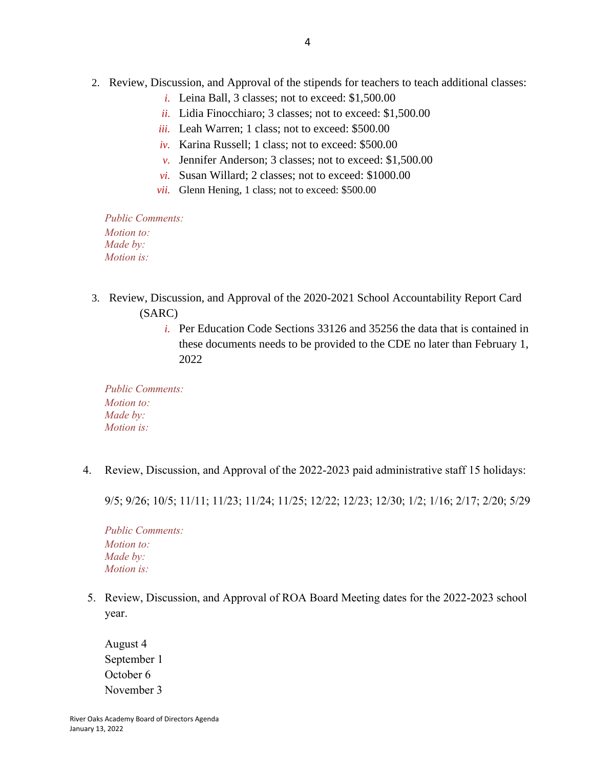- 2. Review, Discussion, and Approval of the stipends for teachers to teach additional classes:
	- *i.* Leina Ball, 3 classes; not to exceed: \$1,500.00
	- *ii.* Lidia Finocchiaro; 3 classes; not to exceed: \$1,500.00
	- *iii.* Leah Warren; 1 class; not to exceed: \$500.00
	- *iv.* Karina Russell; 1 class; not to exceed: \$500.00
	- *v.* Jennifer Anderson; 3 classes; not to exceed: \$1,500.00
	- *vi.* Susan Willard; 2 classes; not to exceed: \$1000.00
	- *vii.* Glenn Hening, 1 class; not to exceed: \$500.00

*Public Comments: Motion to: Made by: Motion is:*

- 3. Review, Discussion, and Approval of the 2020-2021 School Accountability Report Card (SARC)
	- *i.* Per Education Code Sections 33126 and 35256 the data that is contained in these documents needs to be provided to the CDE no later than February 1, 2022

*Public Comments: Motion to: Made by: Motion is:*

4. Review, Discussion, and Approval of the 2022-2023 paid administrative staff 15 holidays:

9/5; 9/26; 10/5; 11/11; 11/23; 11/24; 11/25; 12/22; 12/23; 12/30; 1/2; 1/16; 2/17; 2/20; 5/29

*Public Comments: Motion to: Made by: Motion is:*

5. Review, Discussion, and Approval of ROA Board Meeting dates for the 2022-2023 school year.

August 4 September 1 October 6 November 3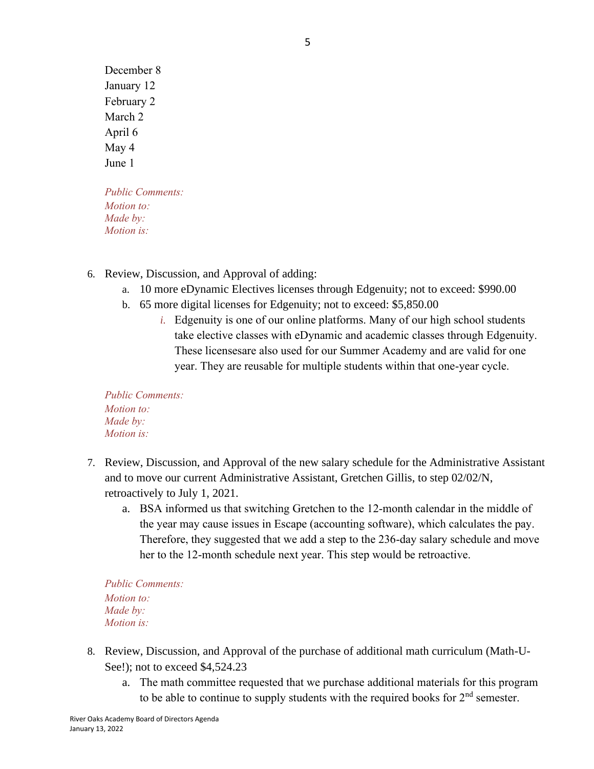December 8 January 12 February 2 March 2 April 6 May 4 June 1

*Public Comments: Motion to: Made by: Motion is:*

- 6. Review, Discussion, and Approval of adding:
	- a. 10 more eDynamic Electives licenses through Edgenuity; not to exceed: \$990.00
	- b. 65 more digital licenses for Edgenuity; not to exceed: \$5,850.00
		- *i.* Edgenuity is one of our online platforms. Many of our high school students take elective classes with eDynamic and academic classes through Edgenuity. These licensesare also used for our Summer Academy and are valid for one year. They are reusable for multiple students within that one-year cycle.

*Public Comments: Motion to: Made by: Motion is:*

- 7. Review, Discussion, and Approval of the new salary schedule for the Administrative Assistant and to move our current Administrative Assistant, Gretchen Gillis, to step 02/02/N, retroactively to July 1, 2021.
	- a. BSA informed us that switching Gretchen to the 12-month calendar in the middle of the year may cause issues in Escape (accounting software), which calculates the pay. Therefore, they suggested that we add a step to the 236-day salary schedule and move her to the 12-month schedule next year. This step would be retroactive.

*Public Comments: Motion to: Made by: Motion is:*

- 8. Review, Discussion, and Approval of the purchase of additional math curriculum (Math-U-See!); not to exceed \$4,524.23
	- a. The math committee requested that we purchase additional materials for this program to be able to continue to supply students with the required books for  $2<sup>nd</sup>$  semester.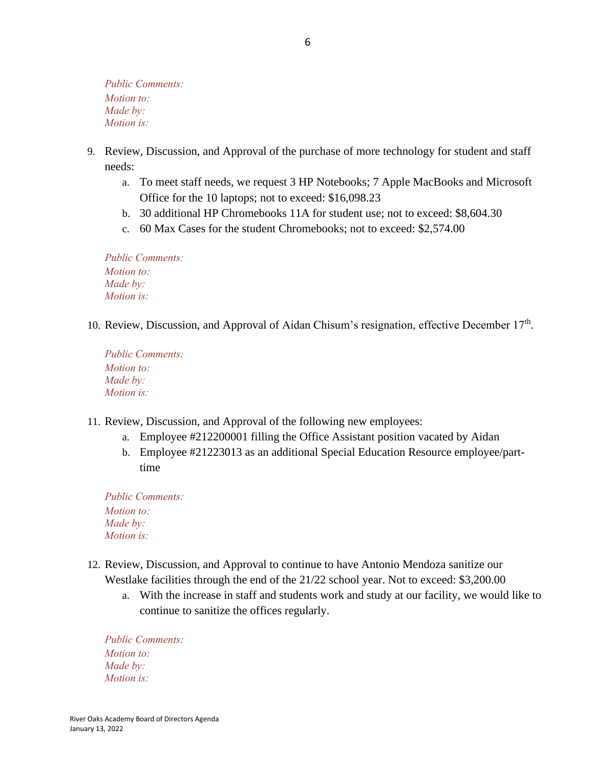*Public Comments: Motion to: Made by: Motion is:*

- 9. Review, Discussion, and Approval of the purchase of more technology for student and staff needs:
	- a. To meet staff needs, we request 3 HP Notebooks; 7 Apple MacBooks and Microsoft Office for the 10 laptops; not to exceed: \$16,098.23
	- b. 30 additional HP Chromebooks 11A for student use; not to exceed: \$8,604.30
	- c. 60 Max Cases for the student Chromebooks; not to exceed: \$2,574.00

*Public Comments: Motion to: Made by: Motion is:*

10. Review, Discussion, and Approval of Aidan Chisum's resignation, effective December 17<sup>th</sup>.

*Public Comments: Motion to: Made by: Motion is:*

- 11. Review, Discussion, and Approval of the following new employees:
	- a. Employee #212200001 filling the Office Assistant position vacated by Aidan
	- b. Employee #21223013 as an additional Special Education Resource employee/parttime

*Public Comments: Motion to: Made by: Motion is:*

- 12. Review, Discussion, and Approval to continue to have Antonio Mendoza sanitize our Westlake facilities through the end of the 21/22 school year. Not to exceed: \$3,200.00
	- a. With the increase in staff and students work and study at our facility, we would like to continue to sanitize the offices regularly.

*Public Comments: Motion to: Made by: Motion is:*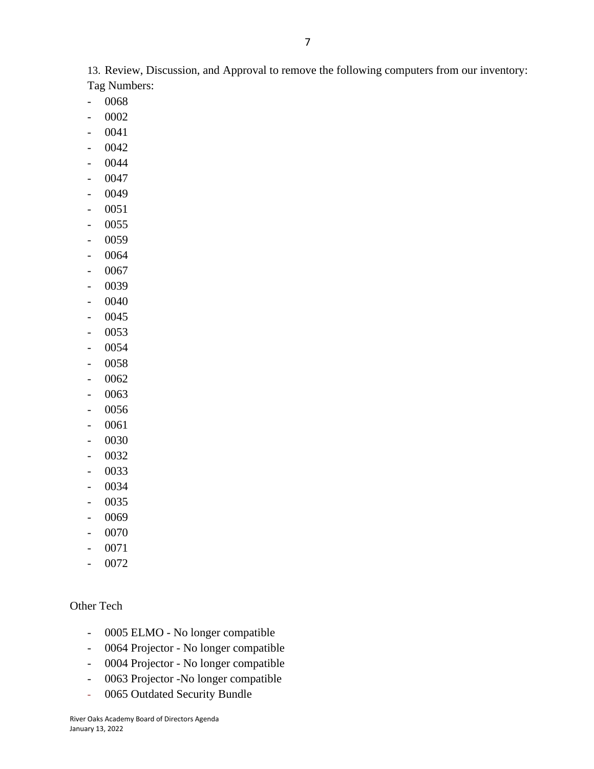13. Review, Discussion, and Approval to remove the following computers from our inventory: Tag Numbers:

7

- 0068
- 0002
- 0041
- 0042
- 0044
- 0047
- 0049
- 0051
- 0055
- 0059
- 0064
- 0067
- 0039
- 0040
- 0045
- 0053
- 0054
- 0058
- 0062
- 0063
- 0056
- 0061
- 0030
- 0032
- 0033
- 0034
- 0035
- 0069
- 0070
- 0071
- 0072

#### Other Tech

- 0005 ELMO No longer compatible
- 0064 Projector No longer compatible
- 0004 Projector No longer compatible
- 0063 Projector -No longer compatible
- 0065 Outdated Security Bundle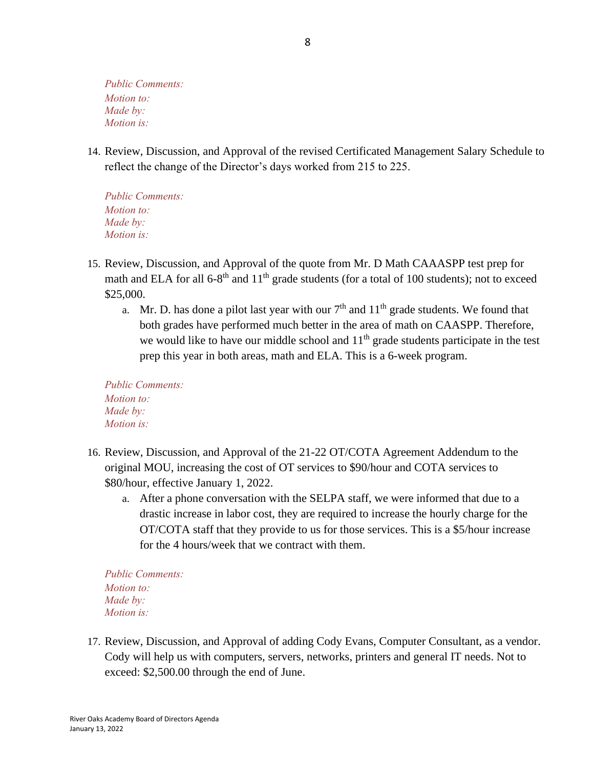*Public Comments: Motion to: Made by: Motion is:*

14. Review, Discussion, and Approval of the revised Certificated Management Salary Schedule to reflect the change of the Director's days worked from 215 to 225.

*Public Comments: Motion to: Made by: Motion is:*

- 15. Review, Discussion, and Approval of the quote from Mr. D Math CAAASPP test prep for math and ELA for all  $6-8$ <sup>th</sup> and  $11$ <sup>th</sup> grade students (for a total of 100 students); not to exceed \$25,000.
	- a. Mr. D. has done a pilot last year with our  $7<sup>th</sup>$  and  $11<sup>th</sup>$  grade students. We found that both grades have performed much better in the area of math on CAASPP. Therefore, we would like to have our middle school and  $11<sup>th</sup>$  grade students participate in the test prep this year in both areas, math and ELA. This is a 6-week program.

*Public Comments: Motion to: Made by: Motion is:*

- 16. Review, Discussion, and Approval of the 21-22 OT/COTA Agreement Addendum to the original MOU, increasing the cost of OT services to \$90/hour and COTA services to \$80/hour, effective January 1, 2022.
	- a. After a phone conversation with the SELPA staff, we were informed that due to a drastic increase in labor cost, they are required to increase the hourly charge for the OT/COTA staff that they provide to us for those services. This is a \$5/hour increase for the 4 hours/week that we contract with them.

*Public Comments: Motion to: Made by: Motion is:*

17. Review, Discussion, and Approval of adding Cody Evans, Computer Consultant, as a vendor. Cody will help us with computers, servers, networks, printers and general IT needs. Not to exceed: \$2,500.00 through the end of June.